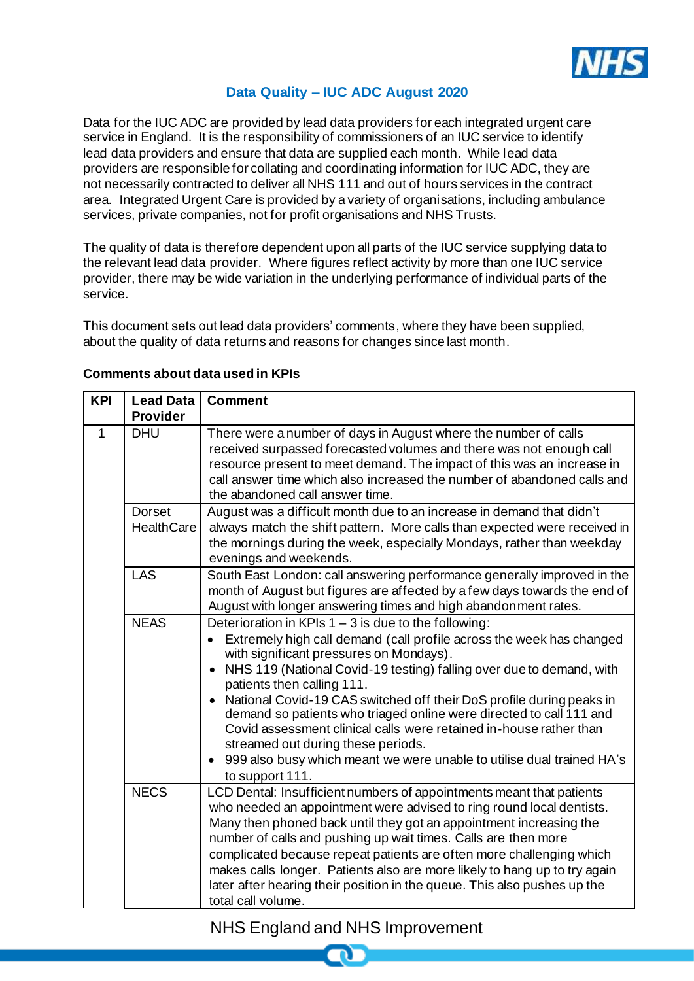

## **Data Quality – IUC ADC August 2020**

Data for the IUC ADC are provided by lead data providers for each integrated urgent care service in England. It is the responsibility of commissioners of an IUC service to identify lead data providers and ensure that data are supplied each month. While lead data providers are responsible for collating and coordinating information for IUC ADC, they are not necessarily contracted to deliver all NHS 111 and out of hours services in the contract area. Integrated Urgent Care is provided by a variety of organisations, including ambulance services, private companies, not for profit organisations and NHS Trusts.

The quality of data is therefore dependent upon all parts of the IUC service supplying data to the relevant lead data provider. Where figures reflect activity by more than one IUC service provider, there may be wide variation in the underlying performance of individual parts of the service.

This document sets out lead data providers' comments, where they have been supplied, about the quality of data returns and reasons for changes since last month.

| <b>KPI</b> | <b>Lead Data</b>            | <b>Comment</b>                                                                                                                                                                                                                                                                                                                                                                                                                                                                                                                                                                                                                         |
|------------|-----------------------------|----------------------------------------------------------------------------------------------------------------------------------------------------------------------------------------------------------------------------------------------------------------------------------------------------------------------------------------------------------------------------------------------------------------------------------------------------------------------------------------------------------------------------------------------------------------------------------------------------------------------------------------|
|            | <b>Provider</b>             |                                                                                                                                                                                                                                                                                                                                                                                                                                                                                                                                                                                                                                        |
| 1          | <b>DHU</b>                  | There were a number of days in August where the number of calls<br>received surpassed forecasted volumes and there was not enough call<br>resource present to meet demand. The impact of this was an increase in<br>call answer time which also increased the number of abandoned calls and<br>the abandoned call answer time.                                                                                                                                                                                                                                                                                                         |
|            | <b>Dorset</b><br>HealthCare | August was a difficult month due to an increase in demand that didn't<br>always match the shift pattern. More calls than expected were received in<br>the mornings during the week, especially Mondays, rather than weekday<br>evenings and weekends.                                                                                                                                                                                                                                                                                                                                                                                  |
|            | <b>LAS</b>                  | South East London: call answering performance generally improved in the<br>month of August but figures are affected by a few days towards the end of<br>August with longer answering times and high abandonment rates.                                                                                                                                                                                                                                                                                                                                                                                                                 |
|            | <b>NEAS</b>                 | Deterioration in KPIs $1 - 3$ is due to the following:<br>Extremely high call demand (call profile across the week has changed<br>with significant pressures on Mondays).<br>NHS 119 (National Covid-19 testing) falling over due to demand, with<br>patients then calling 111.<br>National Covid-19 CAS switched off their DoS profile during peaks in<br>demand so patients who triaged online were directed to call 111 and<br>Covid assessment clinical calls were retained in-house rather than<br>streamed out during these periods.<br>999 also busy which meant we were unable to utilise dual trained HA's<br>to support 111. |
|            | <b>NECS</b>                 | LCD Dental: Insufficient numbers of appointments meant that patients<br>who needed an appointment were advised to ring round local dentists.<br>Many then phoned back until they got an appointment increasing the<br>number of calls and pushing up wait times. Calls are then more<br>complicated because repeat patients are often more challenging which<br>makes calls longer. Patients also are more likely to hang up to try again<br>later after hearing their position in the queue. This also pushes up the<br>total call volume.                                                                                            |

## **Comments about data used in KPIs**

## NHS England and NHS Improvement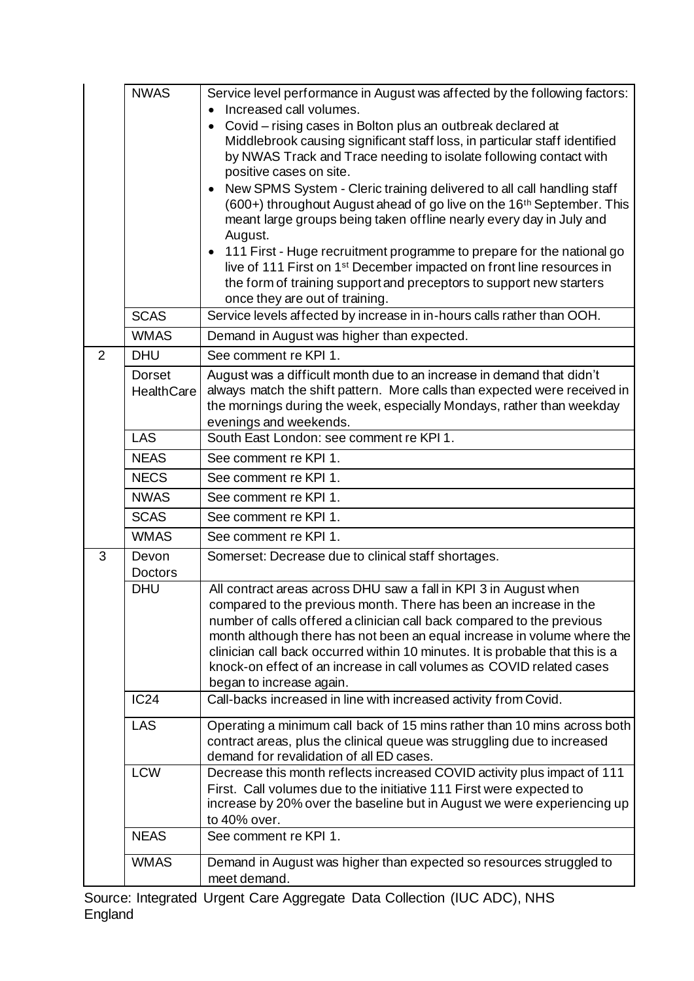|   | <b>NWAS</b><br><b>SCAS</b>         | Service level performance in August was affected by the following factors:<br>Increased call volumes.<br>Covid - rising cases in Bolton plus an outbreak declared at<br>Middlebrook causing significant staff loss, in particular staff identified<br>by NWAS Track and Trace needing to isolate following contact with<br>positive cases on site.<br>New SPMS System - Cleric training delivered to all call handling staff<br>(600+) throughout August ahead of go live on the 16 <sup>th</sup> September. This<br>meant large groups being taken offline nearly every day in July and<br>August.<br>111 First - Huge recruitment programme to prepare for the national go<br>live of 111 First on 1 <sup>st</sup> December impacted on front line resources in<br>the form of training support and preceptors to support new starters<br>once they are out of training.<br>Service levels affected by increase in in-hours calls rather than OOH. |
|---|------------------------------------|------------------------------------------------------------------------------------------------------------------------------------------------------------------------------------------------------------------------------------------------------------------------------------------------------------------------------------------------------------------------------------------------------------------------------------------------------------------------------------------------------------------------------------------------------------------------------------------------------------------------------------------------------------------------------------------------------------------------------------------------------------------------------------------------------------------------------------------------------------------------------------------------------------------------------------------------------|
|   | <b>WMAS</b>                        | Demand in August was higher than expected.                                                                                                                                                                                                                                                                                                                                                                                                                                                                                                                                                                                                                                                                                                                                                                                                                                                                                                           |
| 2 | <b>DHU</b>                         | See comment re KPI 1.                                                                                                                                                                                                                                                                                                                                                                                                                                                                                                                                                                                                                                                                                                                                                                                                                                                                                                                                |
|   | <b>Dorset</b><br><b>HealthCare</b> | August was a difficult month due to an increase in demand that didn't<br>always match the shift pattern. More calls than expected were received in<br>the mornings during the week, especially Mondays, rather than weekday<br>evenings and weekends.                                                                                                                                                                                                                                                                                                                                                                                                                                                                                                                                                                                                                                                                                                |
|   | <b>LAS</b>                         | South East London: see comment re KPI 1.                                                                                                                                                                                                                                                                                                                                                                                                                                                                                                                                                                                                                                                                                                                                                                                                                                                                                                             |
|   | <b>NEAS</b>                        | See comment re KPI 1.                                                                                                                                                                                                                                                                                                                                                                                                                                                                                                                                                                                                                                                                                                                                                                                                                                                                                                                                |
|   | <b>NECS</b>                        | See comment re KPI 1.                                                                                                                                                                                                                                                                                                                                                                                                                                                                                                                                                                                                                                                                                                                                                                                                                                                                                                                                |
|   | <b>NWAS</b>                        | See comment re KPI 1.                                                                                                                                                                                                                                                                                                                                                                                                                                                                                                                                                                                                                                                                                                                                                                                                                                                                                                                                |
|   | <b>SCAS</b>                        | See comment re KPI 1.                                                                                                                                                                                                                                                                                                                                                                                                                                                                                                                                                                                                                                                                                                                                                                                                                                                                                                                                |
|   | <b>WMAS</b>                        | See comment re KPI 1.                                                                                                                                                                                                                                                                                                                                                                                                                                                                                                                                                                                                                                                                                                                                                                                                                                                                                                                                |
| 3 | Devon<br><b>Doctors</b>            | Somerset: Decrease due to clinical staff shortages.                                                                                                                                                                                                                                                                                                                                                                                                                                                                                                                                                                                                                                                                                                                                                                                                                                                                                                  |
|   | <b>DHU</b>                         | All contract areas across DHU saw a fall in KPI 3 in August when<br>compared to the previous month. There has been an increase in the<br>number of calls offered a clinician call back compared to the previous<br>month although there has not been an equal increase in volume where the<br>clinician call back occurred within 10 minutes. It is probable that this is a<br>knock-on effect of an increase in call volumes as COVID related cases<br>began to increase again.                                                                                                                                                                                                                                                                                                                                                                                                                                                                     |
|   | <b>IC24</b>                        | Call-backs increased in line with increased activity from Covid.                                                                                                                                                                                                                                                                                                                                                                                                                                                                                                                                                                                                                                                                                                                                                                                                                                                                                     |
|   | <b>LAS</b>                         | Operating a minimum call back of 15 mins rather than 10 mins across both<br>contract areas, plus the clinical queue was struggling due to increased<br>demand for revalidation of all ED cases.                                                                                                                                                                                                                                                                                                                                                                                                                                                                                                                                                                                                                                                                                                                                                      |
|   | <b>LCW</b>                         | Decrease this month reflects increased COVID activity plus impact of 111<br>First. Call volumes due to the initiative 111 First were expected to<br>increase by 20% over the baseline but in August we were experiencing up<br>to 40% over.                                                                                                                                                                                                                                                                                                                                                                                                                                                                                                                                                                                                                                                                                                          |
|   | <b>NEAS</b>                        | See comment re KPI 1.                                                                                                                                                                                                                                                                                                                                                                                                                                                                                                                                                                                                                                                                                                                                                                                                                                                                                                                                |
|   | <b>WMAS</b>                        | Demand in August was higher than expected so resources struggled to<br>meet demand.                                                                                                                                                                                                                                                                                                                                                                                                                                                                                                                                                                                                                                                                                                                                                                                                                                                                  |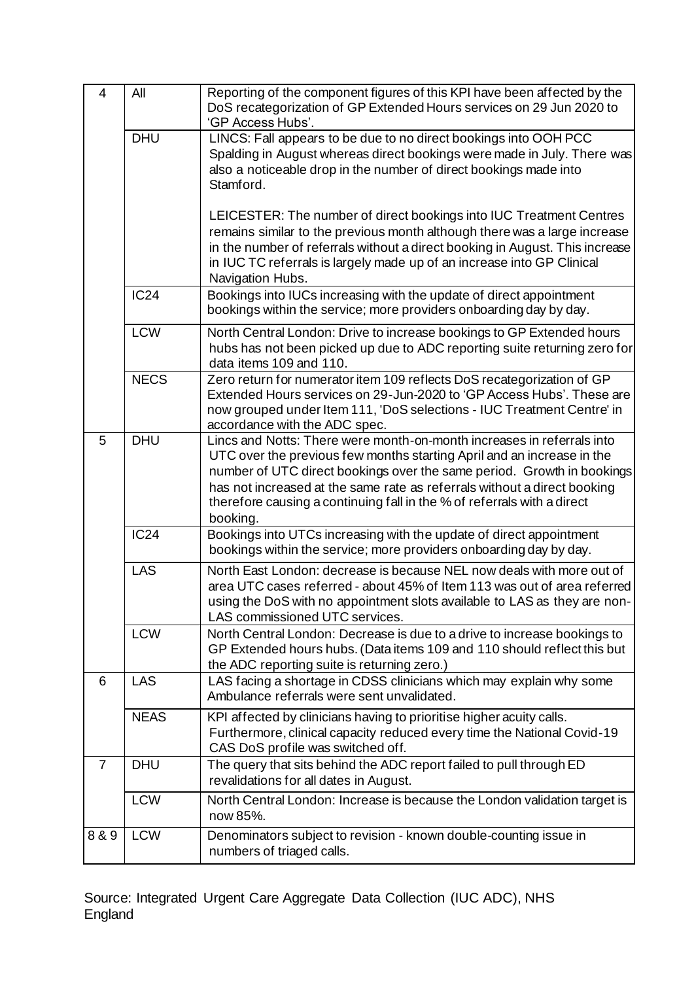| $\overline{4}$ | All         | Reporting of the component figures of this KPI have been affected by the<br>DoS recategorization of GP Extended Hours services on 29 Jun 2020 to<br>'GP Access Hubs'.                                                                                                                                                                                                                         |
|----------------|-------------|-----------------------------------------------------------------------------------------------------------------------------------------------------------------------------------------------------------------------------------------------------------------------------------------------------------------------------------------------------------------------------------------------|
|                | <b>DHU</b>  | LINCS: Fall appears to be due to no direct bookings into OOH PCC<br>Spalding in August whereas direct bookings were made in July. There was<br>also a noticeable drop in the number of direct bookings made into<br>Stamford.<br>LEICESTER: The number of direct bookings into IUC Treatment Centres                                                                                          |
|                |             | remains similar to the previous month although there was a large increase<br>in the number of referrals without a direct booking in August. This increase<br>in IUC TC referrals is largely made up of an increase into GP Clinical<br>Navigation Hubs.                                                                                                                                       |
|                | <b>IC24</b> | Bookings into IUCs increasing with the update of direct appointment<br>bookings within the service; more providers onboarding day by day.                                                                                                                                                                                                                                                     |
|                | <b>LCW</b>  | North Central London: Drive to increase bookings to GP Extended hours<br>hubs has not been picked up due to ADC reporting suite returning zero for<br>data items 109 and 110.                                                                                                                                                                                                                 |
|                | <b>NECS</b> | Zero return for numerator item 109 reflects DoS recategorization of GP<br>Extended Hours services on 29-Jun-2020 to 'GP Access Hubs'. These are<br>now grouped under Item 111, 'DoS selections - IUC Treatment Centre' in<br>accordance with the ADC spec.                                                                                                                                    |
| 5              | <b>DHU</b>  | Lincs and Notts: There were month-on-month increases in referrals into<br>UTC over the previous few months starting April and an increase in the<br>number of UTC direct bookings over the same period. Growth in bookings<br>has not increased at the same rate as referrals without a direct booking<br>therefore causing a continuing fall in the % of referrals with a direct<br>booking. |
|                | <b>IC24</b> | Bookings into UTCs increasing with the update of direct appointment<br>bookings within the service; more providers onboarding day by day.                                                                                                                                                                                                                                                     |
|                | LAS         | North East London: decrease is because NEL now deals with more out of<br>area UTC cases referred - about 45% of Item 113 was out of area referred<br>using the DoS with no appointment slots available to LAS as they are non-<br>LAS commissioned UTC services.                                                                                                                              |
|                | <b>LCW</b>  | North Central London: Decrease is due to a drive to increase bookings to<br>GP Extended hours hubs. (Data items 109 and 110 should reflect this but<br>the ADC reporting suite is returning zero.)                                                                                                                                                                                            |
| 6              | LAS         | LAS facing a shortage in CDSS clinicians which may explain why some<br>Ambulance referrals were sent unvalidated.                                                                                                                                                                                                                                                                             |
|                | <b>NEAS</b> | KPI affected by clinicians having to prioritise higher acuity calls.<br>Furthermore, clinical capacity reduced every time the National Covid-19<br>CAS DoS profile was switched off.                                                                                                                                                                                                          |
| $\overline{7}$ | <b>DHU</b>  | The query that sits behind the ADC report failed to pull through ED<br>revalidations for all dates in August.                                                                                                                                                                                                                                                                                 |
|                | <b>LCW</b>  | North Central London: Increase is because the London validation target is<br>now 85%.                                                                                                                                                                                                                                                                                                         |
| 8 & 9          | <b>LCW</b>  | Denominators subject to revision - known double-counting issue in<br>numbers of triaged calls.                                                                                                                                                                                                                                                                                                |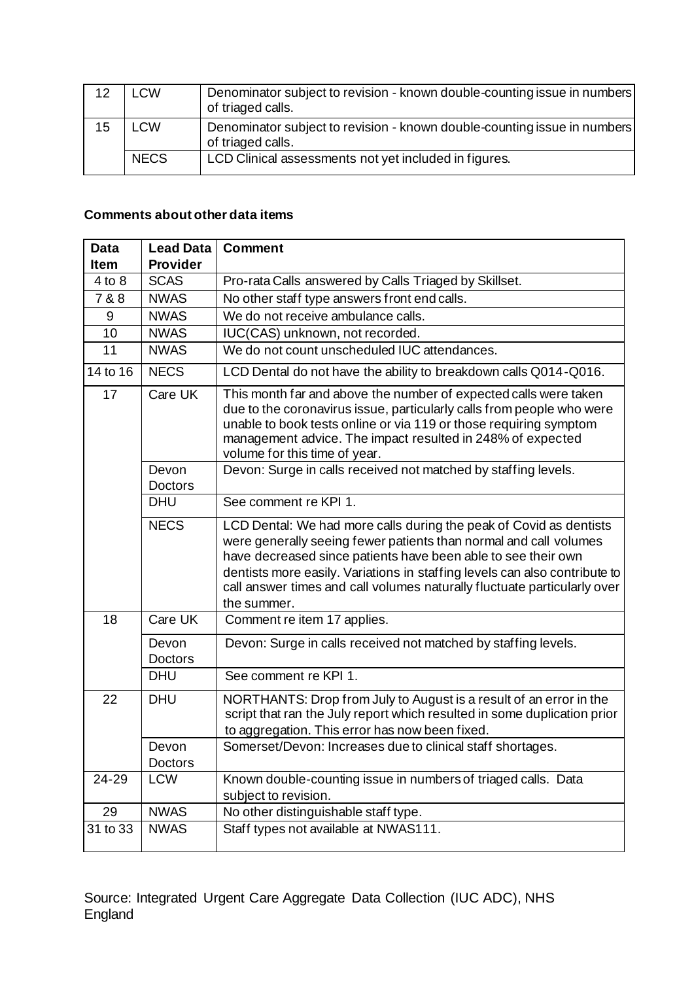| 12 | LCW         | Denominator subject to revision - known double-counting issue in numbers<br>of triaged calls. |
|----|-------------|-----------------------------------------------------------------------------------------------|
| 15 | LCW         | Denominator subject to revision - known double-counting issue in numbers<br>of triaged calls. |
|    | <b>NECS</b> | LCD Clinical assessments not yet included in figures.                                         |

## **Comments about other data items**

| <b>Data</b><br>Item | <b>Lead Data</b><br><b>Provider</b> | <b>Comment</b>                                                                                                                                                                                                                                                                                                                                                                    |
|---------------------|-------------------------------------|-----------------------------------------------------------------------------------------------------------------------------------------------------------------------------------------------------------------------------------------------------------------------------------------------------------------------------------------------------------------------------------|
| 4 to 8              | <b>SCAS</b>                         | Pro-rata Calls answered by Calls Triaged by Skillset.                                                                                                                                                                                                                                                                                                                             |
| 7 & 8               | <b>NWAS</b>                         | No other staff type answers front end calls.                                                                                                                                                                                                                                                                                                                                      |
| 9                   | <b>NWAS</b>                         | We do not receive ambulance calls.                                                                                                                                                                                                                                                                                                                                                |
| 10                  | <b>NWAS</b>                         | IUC(CAS) unknown, not recorded.                                                                                                                                                                                                                                                                                                                                                   |
| 11                  | <b>NWAS</b>                         | We do not count unscheduled IUC attendances.                                                                                                                                                                                                                                                                                                                                      |
| 14 to 16            | <b>NECS</b>                         | LCD Dental do not have the ability to breakdown calls Q014-Q016.                                                                                                                                                                                                                                                                                                                  |
| 17                  | Care UK                             | This month far and above the number of expected calls were taken<br>due to the coronavirus issue, particularly calls from people who were<br>unable to book tests online or via 119 or those requiring symptom<br>management advice. The impact resulted in 248% of expected<br>volume for this time of year.                                                                     |
|                     | Devon<br><b>Doctors</b>             | Devon: Surge in calls received not matched by staffing levels.                                                                                                                                                                                                                                                                                                                    |
|                     | <b>DHU</b>                          | See comment re KPI 1.                                                                                                                                                                                                                                                                                                                                                             |
|                     | <b>NECS</b>                         | LCD Dental: We had more calls during the peak of Covid as dentists<br>were generally seeing fewer patients than normal and call volumes<br>have decreased since patients have been able to see their own<br>dentists more easily. Variations in staffing levels can also contribute to<br>call answer times and call volumes naturally fluctuate particularly over<br>the summer. |
| 18                  | Care UK                             | Comment re item 17 applies.                                                                                                                                                                                                                                                                                                                                                       |
|                     | Devon<br><b>Doctors</b>             | Devon: Surge in calls received not matched by staffing levels.                                                                                                                                                                                                                                                                                                                    |
|                     | <b>DHU</b>                          | See comment re KPI 1.                                                                                                                                                                                                                                                                                                                                                             |
| 22                  | <b>DHU</b>                          | NORTHANTS: Drop from July to August is a result of an error in the<br>script that ran the July report which resulted in some duplication prior<br>to aggregation. This error has now been fixed.                                                                                                                                                                                  |
|                     | Devon<br><b>Doctors</b>             | Somerset/Devon: Increases due to clinical staff shortages.                                                                                                                                                                                                                                                                                                                        |
| 24-29               | <b>LCW</b>                          | Known double-counting issue in numbers of triaged calls. Data<br>subject to revision.                                                                                                                                                                                                                                                                                             |
| 29                  | <b>NWAS</b>                         | No other distinguishable staff type.                                                                                                                                                                                                                                                                                                                                              |
| 31 to 33            | <b>NWAS</b>                         | Staff types not available at NWAS111.                                                                                                                                                                                                                                                                                                                                             |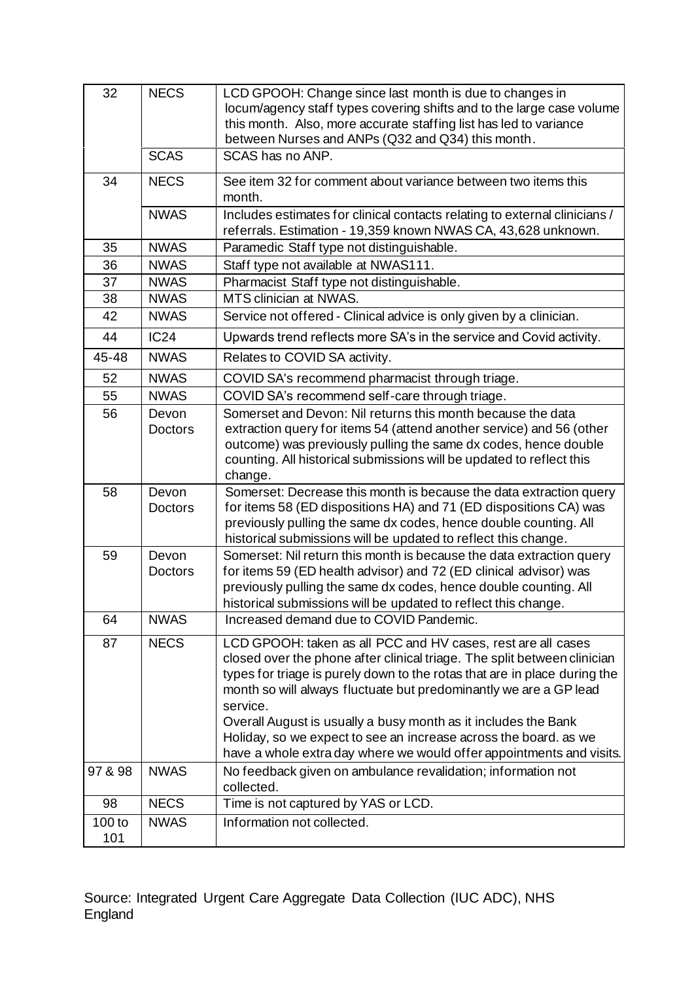| 32                       | <b>NECS</b>             | LCD GPOOH: Change since last month is due to changes in<br>locum/agency staff types covering shifts and to the large case volume<br>this month. Also, more accurate staffing list has led to variance<br>between Nurses and ANPs (Q32 and Q34) this month.                                                                                                                                                                                                                                                           |
|--------------------------|-------------------------|----------------------------------------------------------------------------------------------------------------------------------------------------------------------------------------------------------------------------------------------------------------------------------------------------------------------------------------------------------------------------------------------------------------------------------------------------------------------------------------------------------------------|
|                          | <b>SCAS</b>             | SCAS has no ANP.                                                                                                                                                                                                                                                                                                                                                                                                                                                                                                     |
| 34                       | <b>NECS</b>             | See item 32 for comment about variance between two items this<br>month.                                                                                                                                                                                                                                                                                                                                                                                                                                              |
|                          | <b>NWAS</b>             | Includes estimates for clinical contacts relating to external clinicians /<br>referrals. Estimation - 19,359 known NWAS CA, 43,628 unknown.                                                                                                                                                                                                                                                                                                                                                                          |
| 35                       | <b>NWAS</b>             | Paramedic Staff type not distinguishable.                                                                                                                                                                                                                                                                                                                                                                                                                                                                            |
| 36                       | <b>NWAS</b>             | Staff type not available at NWAS111.                                                                                                                                                                                                                                                                                                                                                                                                                                                                                 |
| 37                       | <b>NWAS</b>             | Pharmacist Staff type not distinguishable.                                                                                                                                                                                                                                                                                                                                                                                                                                                                           |
| 38                       | <b>NWAS</b>             | MTS clinician at NWAS.                                                                                                                                                                                                                                                                                                                                                                                                                                                                                               |
| 42                       | <b>NWAS</b>             | Service not offered - Clinical advice is only given by a clinician.                                                                                                                                                                                                                                                                                                                                                                                                                                                  |
| 44                       | <b>IC24</b>             | Upwards trend reflects more SA's in the service and Covid activity.                                                                                                                                                                                                                                                                                                                                                                                                                                                  |
| 45-48                    | <b>NWAS</b>             | Relates to COVID SA activity.                                                                                                                                                                                                                                                                                                                                                                                                                                                                                        |
| 52                       | <b>NWAS</b>             | COVID SA's recommend pharmacist through triage.                                                                                                                                                                                                                                                                                                                                                                                                                                                                      |
| 55                       | <b>NWAS</b>             | COVID SA's recommend self-care through triage.                                                                                                                                                                                                                                                                                                                                                                                                                                                                       |
| 56                       | Devon<br><b>Doctors</b> | Somerset and Devon: Nil returns this month because the data<br>extraction query for items 54 (attend another service) and 56 (other<br>outcome) was previously pulling the same dx codes, hence double<br>counting. All historical submissions will be updated to reflect this<br>change.                                                                                                                                                                                                                            |
| 58                       | Devon<br>Doctors        | Somerset: Decrease this month is because the data extraction query<br>for items 58 (ED dispositions HA) and 71 (ED dispositions CA) was<br>previously pulling the same dx codes, hence double counting. All<br>historical submissions will be updated to reflect this change.                                                                                                                                                                                                                                        |
| 59                       | Devon<br><b>Doctors</b> | Somerset: Nil return this month is because the data extraction query<br>for items 59 (ED health advisor) and 72 (ED clinical advisor) was<br>previously pulling the same dx codes, hence double counting. All<br>historical submissions will be updated to reflect this change.                                                                                                                                                                                                                                      |
| 64                       | <b>NWAS</b>             | Increased demand due to COVID Pandemic.                                                                                                                                                                                                                                                                                                                                                                                                                                                                              |
| 87                       | <b>NECS</b>             | LCD GPOOH: taken as all PCC and HV cases, rest are all cases<br>closed over the phone after clinical triage. The split between clinician<br>types for triage is purely down to the rotas that are in place during the<br>month so will always fluctuate but predominantly we are a GP lead<br>service.<br>Overall August is usually a busy month as it includes the Bank<br>Holiday, so we expect to see an increase across the board. as we<br>have a whole extra day where we would offer appointments and visits. |
| 97 & 98                  | <b>NWAS</b>             | No feedback given on ambulance revalidation; information not<br>collected.                                                                                                                                                                                                                                                                                                                                                                                                                                           |
| 98                       | <b>NECS</b>             | Time is not captured by YAS or LCD.                                                                                                                                                                                                                                                                                                                                                                                                                                                                                  |
| 100 <sub>to</sub><br>101 | <b>NWAS</b>             | Information not collected.                                                                                                                                                                                                                                                                                                                                                                                                                                                                                           |